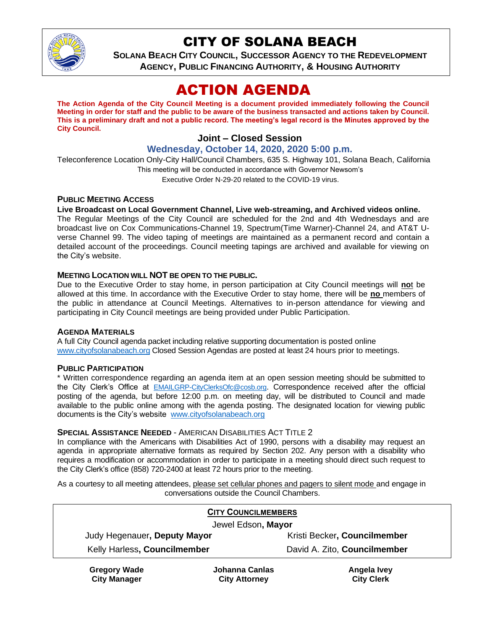

## CITY OF SOLANA BEACH

**SOLANA BEACH CITY COUNCIL, SUCCESSOR AGENCY TO THE REDEVELOPMENT AGENCY, PUBLIC FINANCING AUTHORITY, & HOUSING AUTHORITY**

# ACTION AGENDA

**The Action Agenda of the City Council Meeting is a document provided immediately following the Council Meeting in order for staff and the public to be aware of the business transacted and actions taken by Council. This is a preliminary draft and not a public record. The meeting's legal record is the Minutes approved by the City Council.**

## **Joint – Closed Session**

## **Wednesday, October 14, 2020, 2020 5:00 p.m.**

Teleconference Location Only-City Hall/Council Chambers, 635 S. Highway 101, Solana Beach, California This meeting will be conducted in accordance with Governor Newsom's Executive Order N-29-20 related to the COVID-19 virus.

#### **PUBLIC MEETING ACCESS**

#### **Live Broadcast on Local Government Channel, Live web-streaming, and Archived videos online.**

The Regular Meetings of the City Council are scheduled for the 2nd and 4th Wednesdays and are broadcast live on Cox Communications-Channel 19, Spectrum(Time Warner)-Channel 24, and AT&T Uverse Channel 99. The video taping of meetings are maintained as a permanent record and contain a detailed account of the proceedings. Council meeting tapings are archived and available for viewing on the City's website.

#### **MEETING LOCATION WILL NOT BE OPEN TO THE PUBLIC.**

Due to the Executive Order to stay home, in person participation at City Council meetings will **no**t be allowed at this time. In accordance with the Executive Order to stay home, there will be **no** members of the public in attendance at Council Meetings. Alternatives to in-person attendance for viewing and participating in City Council meetings are being provided under Public Participation.

#### **AGENDA MATERIALS**

A full City Council agenda packet including relative supporting documentation is posted online [www.cityofsolanabeach.org](https://urldefense.proofpoint.com/v2/url?u=http-3A__www.cityofsolanabeach.org&d=DwQFAg&c=euGZstcaTDllvimEN8b7jXrwqOf-v5A_CdpgnVfiiMM&r=1XAsCUuqwK_tji2t0s1uIQ&m=wny2RVfZJ2tN24LkqZmkUWNpwL_peNtTZUBlTBZiMM4&s=6ATguqxJUOD7VVtloplAbyuyNaVcEh6Fl4q1iw55lCY&e=) Closed Session Agendas are posted at least 24 hours prior to meetings.

#### **PUBLIC PARTICIPATION**

\* Written correspondence regarding an agenda item at an open session meeting should be submitted to the City Clerk's Office at [EMAILGRP-CityClerksOfc@cosb.org](mailto:EMAILGRP-CityClerksOfc@cosb.org). Correspondence received after the official posting of the agenda, but before 12:00 p.m. on meeting day, will be distributed to Council and made available to the public online among with the agenda posting. The designated location for viewing public documents is the City's website [www.cityofsolanabeach.org](http://www.cityofsolanabeach.org/)

#### **SPECIAL ASSISTANCE NEEDED** - AMERICAN DISABILITIES ACT TITLE 2

In compliance with the Americans with Disabilities Act of 1990, persons with a disability may request an agenda in appropriate alternative formats as required by Section 202. Any person with a disability who requires a modification or accommodation in order to participate in a meeting should direct such request to the City Clerk's office (858) 720-2400 at least 72 hours prior to the meeting.

As a courtesy to all meeting attendees, please set cellular phones and pagers to silent mode and engage in conversations outside the Council Chambers.

| <b>CITY COUNCILMEMBERS</b>   |                |                              |
|------------------------------|----------------|------------------------------|
| Jewel Edson, Mayor           |                |                              |
| Judy Hegenauer, Deputy Mayor |                | Kristi Becker, Councilmember |
| Kelly Harless, Councilmember |                | David A. Zito, Councilmember |
| <b>Gregory Wade</b>          | Johanna Canlas | Angela Ivey                  |

**City Manager**

**Johanna Canlas City Attorney**

**Angela Ivey City Clerk**